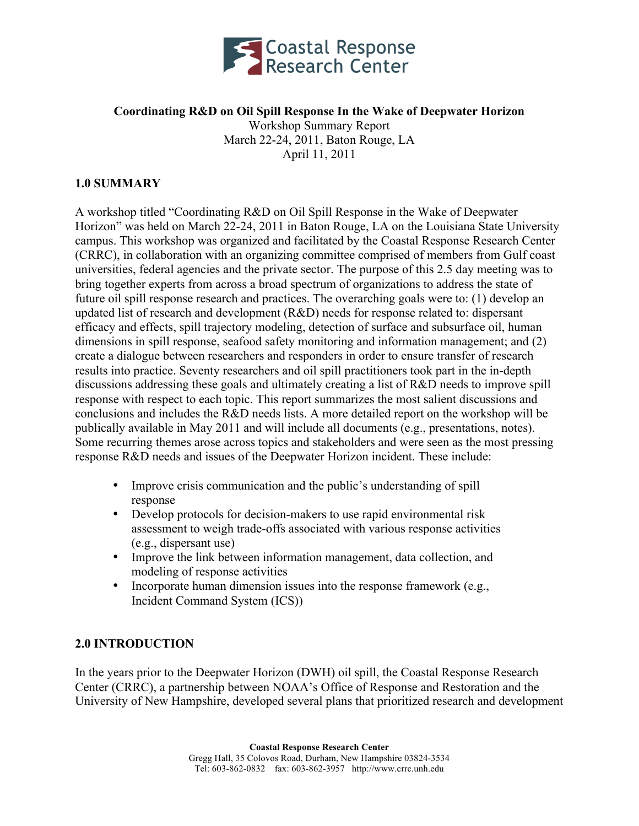

### **Coordinating R&D on Oil Spill Response In the Wake of Deepwater Horizon** Workshop Summary Report March 22-24, 2011, Baton Rouge, LA April 11, 2011

### **1.0 SUMMARY**

A workshop titled "Coordinating R&D on Oil Spill Response in the Wake of Deepwater Horizon" was held on March 22-24, 2011 in Baton Rouge, LA on the Louisiana State University campus. This workshop was organized and facilitated by the Coastal Response Research Center (CRRC), in collaboration with an organizing committee comprised of members from Gulf coast universities, federal agencies and the private sector. The purpose of this 2.5 day meeting was to bring together experts from across a broad spectrum of organizations to address the state of future oil spill response research and practices. The overarching goals were to: (1) develop an updated list of research and development (R&D) needs for response related to: dispersant efficacy and effects, spill trajectory modeling, detection of surface and subsurface oil, human dimensions in spill response, seafood safety monitoring and information management; and (2) create a dialogue between researchers and responders in order to ensure transfer of research results into practice. Seventy researchers and oil spill practitioners took part in the in-depth discussions addressing these goals and ultimately creating a list of R&D needs to improve spill response with respect to each topic. This report summarizes the most salient discussions and conclusions and includes the R&D needs lists. A more detailed report on the workshop will be publically available in May 2011 and will include all documents (e.g., presentations, notes). Some recurring themes arose across topics and stakeholders and were seen as the most pressing response R&D needs and issues of the Deepwater Horizon incident. These include:

- Improve crisis communication and the public's understanding of spill response
- Develop protocols for decision-makers to use rapid environmental risk assessment to weigh trade-offs associated with various response activities (e.g., dispersant use)
- Improve the link between information management, data collection, and modeling of response activities
- Incorporate human dimension issues into the response framework (e.g., Incident Command System (ICS))

### **2.0 INTRODUCTION**

In the years prior to the Deepwater Horizon (DWH) oil spill, the Coastal Response Research Center (CRRC), a partnership between NOAA's Office of Response and Restoration and the University of New Hampshire, developed several plans that prioritized research and development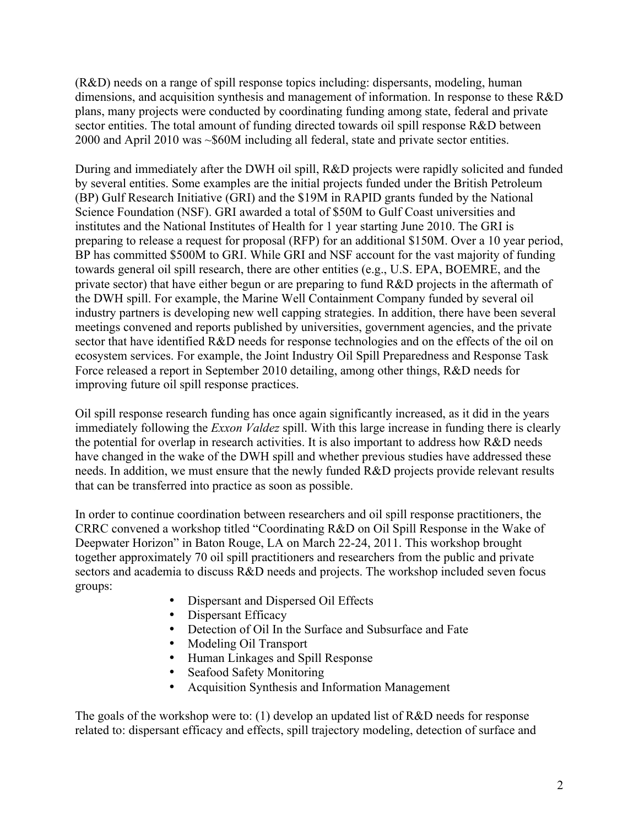(R&D) needs on a range of spill response topics including: dispersants, modeling, human dimensions, and acquisition synthesis and management of information. In response to these R&D plans, many projects were conducted by coordinating funding among state, federal and private sector entities. The total amount of funding directed towards oil spill response R&D between 2000 and April 2010 was ~\$60M including all federal, state and private sector entities.

During and immediately after the DWH oil spill, R&D projects were rapidly solicited and funded by several entities. Some examples are the initial projects funded under the British Petroleum (BP) Gulf Research Initiative (GRI) and the \$19M in RAPID grants funded by the National Science Foundation (NSF). GRI awarded a total of \$50M to Gulf Coast universities and institutes and the National Institutes of Health for 1 year starting June 2010. The GRI is preparing to release a request for proposal (RFP) for an additional \$150M. Over a 10 year period, BP has committed \$500M to GRI. While GRI and NSF account for the vast majority of funding towards general oil spill research, there are other entities (e.g., U.S. EPA, BOEMRE, and the private sector) that have either begun or are preparing to fund R&D projects in the aftermath of the DWH spill. For example, the Marine Well Containment Company funded by several oil industry partners is developing new well capping strategies. In addition, there have been several meetings convened and reports published by universities, government agencies, and the private sector that have identified R&D needs for response technologies and on the effects of the oil on ecosystem services. For example, the Joint Industry Oil Spill Preparedness and Response Task Force released a report in September 2010 detailing, among other things, R&D needs for improving future oil spill response practices.

Oil spill response research funding has once again significantly increased, as it did in the years immediately following the *Exxon Valdez* spill. With this large increase in funding there is clearly the potential for overlap in research activities. It is also important to address how R&D needs have changed in the wake of the DWH spill and whether previous studies have addressed these needs. In addition, we must ensure that the newly funded R&D projects provide relevant results that can be transferred into practice as soon as possible.

In order to continue coordination between researchers and oil spill response practitioners, the CRRC convened a workshop titled "Coordinating R&D on Oil Spill Response in the Wake of Deepwater Horizon" in Baton Rouge, LA on March 22-24, 2011. This workshop brought together approximately 70 oil spill practitioners and researchers from the public and private sectors and academia to discuss R&D needs and projects. The workshop included seven focus groups:

- Dispersant and Dispersed Oil Effects
- Dispersant Efficacy
- Detection of Oil In the Surface and Subsurface and Fate
- Modeling Oil Transport
- Human Linkages and Spill Response
- Seafood Safety Monitoring
- Acquisition Synthesis and Information Management

The goals of the workshop were to: (1) develop an updated list of R&D needs for response related to: dispersant efficacy and effects, spill trajectory modeling, detection of surface and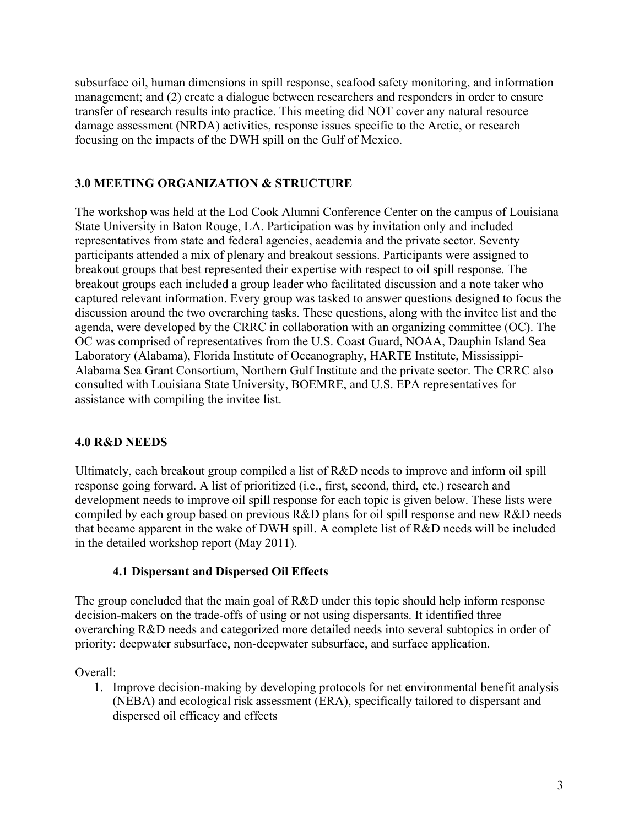subsurface oil, human dimensions in spill response, seafood safety monitoring, and information management; and (2) create a dialogue between researchers and responders in order to ensure transfer of research results into practice. This meeting did NOT cover any natural resource damage assessment (NRDA) activities, response issues specific to the Arctic, or research focusing on the impacts of the DWH spill on the Gulf of Mexico.

## **3.0 MEETING ORGANIZATION & STRUCTURE**

The workshop was held at the Lod Cook Alumni Conference Center on the campus of Louisiana State University in Baton Rouge, LA. Participation was by invitation only and included representatives from state and federal agencies, academia and the private sector. Seventy participants attended a mix of plenary and breakout sessions. Participants were assigned to breakout groups that best represented their expertise with respect to oil spill response. The breakout groups each included a group leader who facilitated discussion and a note taker who captured relevant information. Every group was tasked to answer questions designed to focus the discussion around the two overarching tasks. These questions, along with the invitee list and the agenda, were developed by the CRRC in collaboration with an organizing committee (OC). The OC was comprised of representatives from the U.S. Coast Guard, NOAA, Dauphin Island Sea Laboratory (Alabama), Florida Institute of Oceanography, HARTE Institute, Mississippi-Alabama Sea Grant Consortium, Northern Gulf Institute and the private sector. The CRRC also consulted with Louisiana State University, BOEMRE, and U.S. EPA representatives for assistance with compiling the invitee list.

## **4.0 R&D NEEDS**

Ultimately, each breakout group compiled a list of R&D needs to improve and inform oil spill response going forward. A list of prioritized (i.e., first, second, third, etc.) research and development needs to improve oil spill response for each topic is given below. These lists were compiled by each group based on previous R&D plans for oil spill response and new R&D needs that became apparent in the wake of DWH spill. A complete list of R&D needs will be included in the detailed workshop report (May 2011).

### **4.1 Dispersant and Dispersed Oil Effects**

The group concluded that the main goal of R&D under this topic should help inform response decision-makers on the trade-offs of using or not using dispersants. It identified three overarching R&D needs and categorized more detailed needs into several subtopics in order of priority: deepwater subsurface, non-deepwater subsurface, and surface application.

Overall:

1. Improve decision-making by developing protocols for net environmental benefit analysis (NEBA) and ecological risk assessment (ERA), specifically tailored to dispersant and dispersed oil efficacy and effects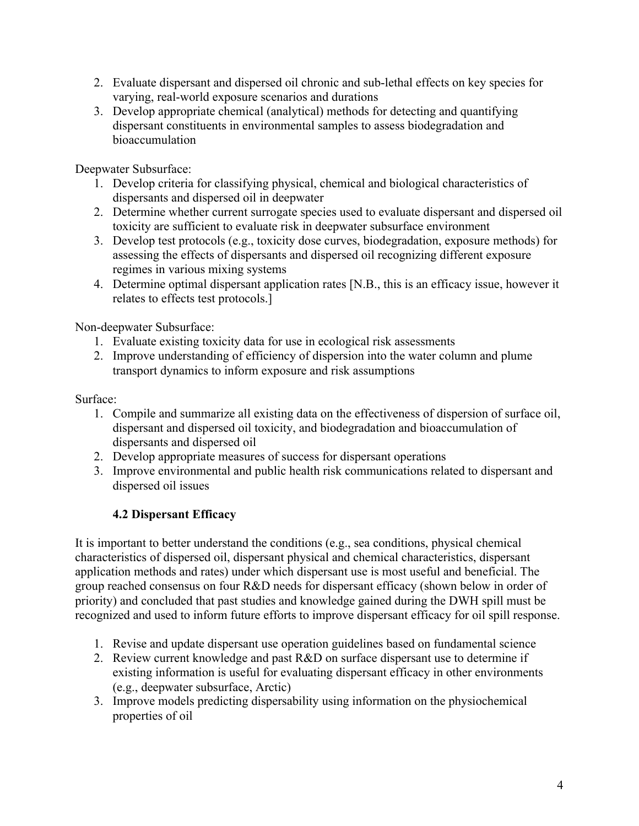- 2. Evaluate dispersant and dispersed oil chronic and sub-lethal effects on key species for varying, real-world exposure scenarios and durations
- 3. Develop appropriate chemical (analytical) methods for detecting and quantifying dispersant constituents in environmental samples to assess biodegradation and bioaccumulation

Deepwater Subsurface:

- 1. Develop criteria for classifying physical, chemical and biological characteristics of dispersants and dispersed oil in deepwater
- 2. Determine whether current surrogate species used to evaluate dispersant and dispersed oil toxicity are sufficient to evaluate risk in deepwater subsurface environment
- 3. Develop test protocols (e.g., toxicity dose curves, biodegradation, exposure methods) for assessing the effects of dispersants and dispersed oil recognizing different exposure regimes in various mixing systems
- 4. Determine optimal dispersant application rates [N.B., this is an efficacy issue, however it relates to effects test protocols.]

Non-deepwater Subsurface:

- 1. Evaluate existing toxicity data for use in ecological risk assessments
- 2. Improve understanding of efficiency of dispersion into the water column and plume transport dynamics to inform exposure and risk assumptions

### Surface:

- 1. Compile and summarize all existing data on the effectiveness of dispersion of surface oil, dispersant and dispersed oil toxicity, and biodegradation and bioaccumulation of dispersants and dispersed oil
- 2. Develop appropriate measures of success for dispersant operations
- 3. Improve environmental and public health risk communications related to dispersant and dispersed oil issues

## **4.2 Dispersant Efficacy**

It is important to better understand the conditions (e.g., sea conditions, physical chemical characteristics of dispersed oil, dispersant physical and chemical characteristics, dispersant application methods and rates) under which dispersant use is most useful and beneficial. The group reached consensus on four R&D needs for dispersant efficacy (shown below in order of priority) and concluded that past studies and knowledge gained during the DWH spill must be recognized and used to inform future efforts to improve dispersant efficacy for oil spill response.

- 1. Revise and update dispersant use operation guidelines based on fundamental science
- 2. Review current knowledge and past R&D on surface dispersant use to determine if existing information is useful for evaluating dispersant efficacy in other environments (e.g., deepwater subsurface, Arctic)
- 3. Improve models predicting dispersability using information on the physiochemical properties of oil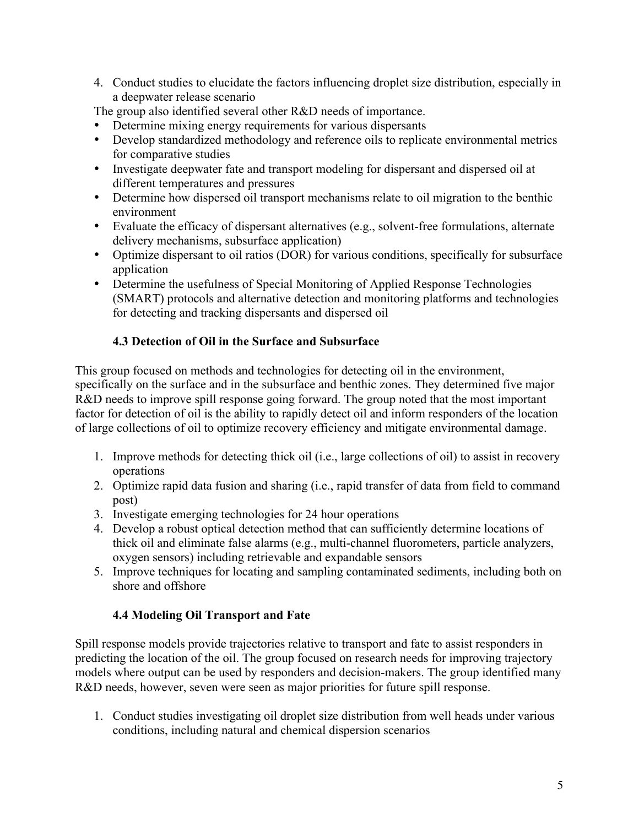4. Conduct studies to elucidate the factors influencing droplet size distribution, especially in a deepwater release scenario

The group also identified several other R&D needs of importance.

- Determine mixing energy requirements for various dispersants
- Develop standardized methodology and reference oils to replicate environmental metrics for comparative studies
- Investigate deepwater fate and transport modeling for dispersant and dispersed oil at different temperatures and pressures
- Determine how dispersed oil transport mechanisms relate to oil migration to the benthic environment
- Evaluate the efficacy of dispersant alternatives (e.g., solvent-free formulations, alternate delivery mechanisms, subsurface application)
- Optimize dispersant to oil ratios (DOR) for various conditions, specifically for subsurface application
- Determine the usefulness of Special Monitoring of Applied Response Technologies (SMART) protocols and alternative detection and monitoring platforms and technologies for detecting and tracking dispersants and dispersed oil

## **4.3 Detection of Oil in the Surface and Subsurface**

This group focused on methods and technologies for detecting oil in the environment, specifically on the surface and in the subsurface and benthic zones. They determined five major R&D needs to improve spill response going forward. The group noted that the most important factor for detection of oil is the ability to rapidly detect oil and inform responders of the location of large collections of oil to optimize recovery efficiency and mitigate environmental damage.

- 1. Improve methods for detecting thick oil (i.e., large collections of oil) to assist in recovery operations
- 2. Optimize rapid data fusion and sharing (i.e., rapid transfer of data from field to command post)
- 3. Investigate emerging technologies for 24 hour operations
- 4. Develop a robust optical detection method that can sufficiently determine locations of thick oil and eliminate false alarms (e.g., multi-channel fluorometers, particle analyzers, oxygen sensors) including retrievable and expandable sensors
- 5. Improve techniques for locating and sampling contaminated sediments, including both on shore and offshore

# **4.4 Modeling Oil Transport and Fate**

Spill response models provide trajectories relative to transport and fate to assist responders in predicting the location of the oil. The group focused on research needs for improving trajectory models where output can be used by responders and decision-makers. The group identified many R&D needs, however, seven were seen as major priorities for future spill response.

1. Conduct studies investigating oil droplet size distribution from well heads under various conditions, including natural and chemical dispersion scenarios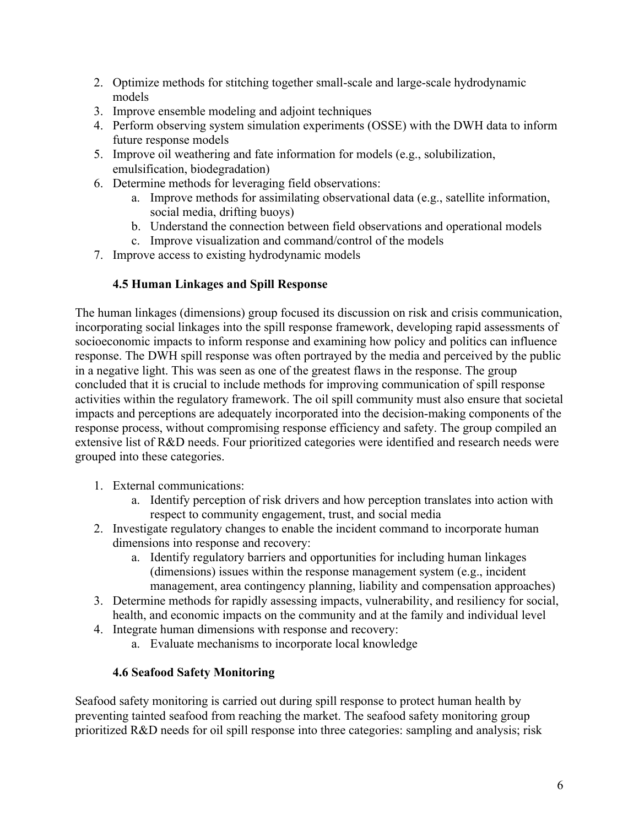- 2. Optimize methods for stitching together small-scale and large-scale hydrodynamic models
- 3. Improve ensemble modeling and adjoint techniques
- 4. Perform observing system simulation experiments (OSSE) with the DWH data to inform future response models
- 5. Improve oil weathering and fate information for models (e.g., solubilization, emulsification, biodegradation)
- 6. Determine methods for leveraging field observations:
	- a. Improve methods for assimilating observational data (e.g., satellite information, social media, drifting buoys)
	- b. Understand the connection between field observations and operational models
	- c. Improve visualization and command/control of the models
- 7. Improve access to existing hydrodynamic models

# **4.5 Human Linkages and Spill Response**

The human linkages (dimensions) group focused its discussion on risk and crisis communication, incorporating social linkages into the spill response framework, developing rapid assessments of socioeconomic impacts to inform response and examining how policy and politics can influence response. The DWH spill response was often portrayed by the media and perceived by the public in a negative light. This was seen as one of the greatest flaws in the response. The group concluded that it is crucial to include methods for improving communication of spill response activities within the regulatory framework. The oil spill community must also ensure that societal impacts and perceptions are adequately incorporated into the decision-making components of the response process, without compromising response efficiency and safety. The group compiled an extensive list of R&D needs. Four prioritized categories were identified and research needs were grouped into these categories.

- 1. External communications:
	- a. Identify perception of risk drivers and how perception translates into action with respect to community engagement, trust, and social media
- 2. Investigate regulatory changes to enable the incident command to incorporate human dimensions into response and recovery:
	- a. Identify regulatory barriers and opportunities for including human linkages (dimensions) issues within the response management system (e.g., incident management, area contingency planning, liability and compensation approaches)
- 3. Determine methods for rapidly assessing impacts, vulnerability, and resiliency for social, health, and economic impacts on the community and at the family and individual level
- 4. Integrate human dimensions with response and recovery:
	- a. Evaluate mechanisms to incorporate local knowledge

# **4.6 Seafood Safety Monitoring**

Seafood safety monitoring is carried out during spill response to protect human health by preventing tainted seafood from reaching the market. The seafood safety monitoring group prioritized R&D needs for oil spill response into three categories: sampling and analysis; risk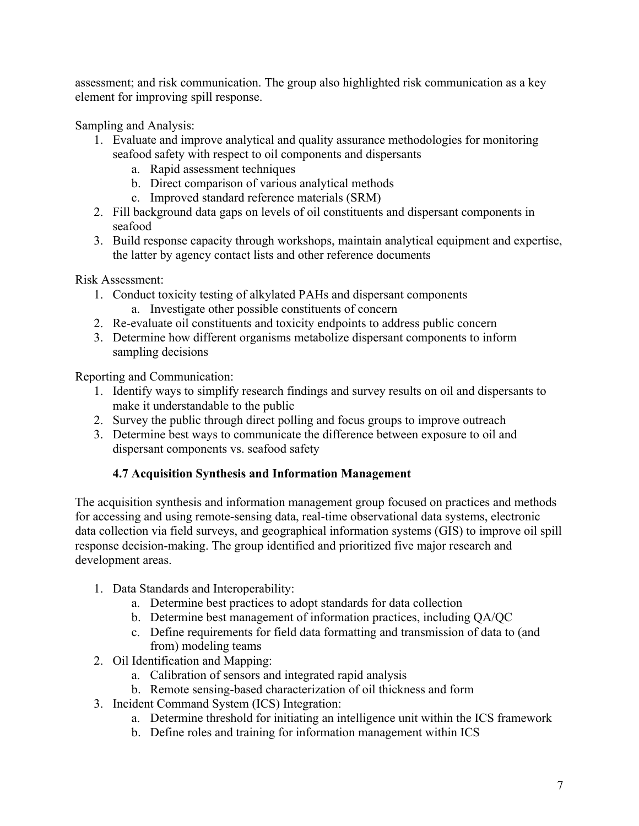assessment; and risk communication. The group also highlighted risk communication as a key element for improving spill response.

Sampling and Analysis:

- 1. Evaluate and improve analytical and quality assurance methodologies for monitoring seafood safety with respect to oil components and dispersants
	- a. Rapid assessment techniques
	- b. Direct comparison of various analytical methods
	- c. Improved standard reference materials (SRM)
- 2. Fill background data gaps on levels of oil constituents and dispersant components in seafood
- 3. Build response capacity through workshops, maintain analytical equipment and expertise, the latter by agency contact lists and other reference documents

Risk Assessment:

- 1. Conduct toxicity testing of alkylated PAHs and dispersant components a. Investigate other possible constituents of concern
- 2. Re-evaluate oil constituents and toxicity endpoints to address public concern
- 3. Determine how different organisms metabolize dispersant components to inform sampling decisions

Reporting and Communication:

- 1. Identify ways to simplify research findings and survey results on oil and dispersants to make it understandable to the public
- 2. Survey the public through direct polling and focus groups to improve outreach
- 3. Determine best ways to communicate the difference between exposure to oil and dispersant components vs. seafood safety

## **4.7 Acquisition Synthesis and Information Management**

The acquisition synthesis and information management group focused on practices and methods for accessing and using remote-sensing data, real-time observational data systems, electronic data collection via field surveys, and geographical information systems (GIS) to improve oil spill response decision-making. The group identified and prioritized five major research and development areas.

- 1. Data Standards and Interoperability:
	- a. Determine best practices to adopt standards for data collection
	- b. Determine best management of information practices, including QA/QC
	- c. Define requirements for field data formatting and transmission of data to (and from) modeling teams
- 2. Oil Identification and Mapping:
	- a. Calibration of sensors and integrated rapid analysis
	- b. Remote sensing-based characterization of oil thickness and form
- 3. Incident Command System (ICS) Integration:
	- a. Determine threshold for initiating an intelligence unit within the ICS framework
	- b. Define roles and training for information management within ICS